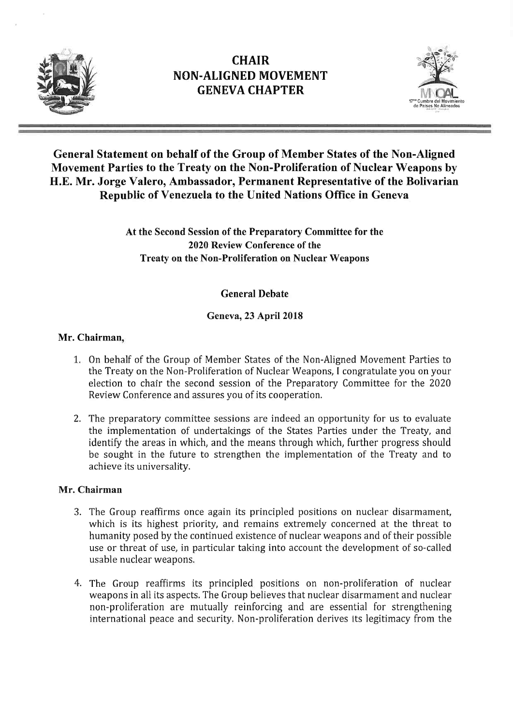



### General Statement on behalf of the Group of Member States of the Non-Aligned Movement Parties to the Treaty on the Non-Proliferation of Nuclear Weapons by H.E. Mr. Jorge Valero, Ambassador, Permanent Representative of the Bolivarian Republic of Venezuela to the United Nations Office in Geneva

At the Second Session of the Preparatory Committee for the 2020 Review Conference of the Treaty on the Non-Proliferation on Nuclear Weapons

#### General Debate

### Geneva, 23 April 2018

#### Mr. Chairman,

- 1. On behalf of the Group of Member States of the Non-Aligned Movement Parties to the Treaty on the Non-Proliferation of Nuclear Weapons, I congratulate you on your election to chair the second session of the Preparatory Committee for the 2020 Review Conference and assures you of its cooperation.
- 2. The preparatory committee sessions are indeed an opportunity for us to evaluate the implementation of undertakings of the States Parties under the Treaty, and identify the areas in which, and the means through which, further progress should be sought in the future to strengthen the implementation of the Treaty and to achieve its universality.

#### Mr. Chairman

- 3. The Group reaffirms once again its principled positions on nuclear disarmament, which is its highest priority, and remains extremely concerned at the threat to humanity posed by the continued existence of nuclear weapons and of their possible use or threat of use, in particular taking into account the development of so-called usable nuclear weapons.
- 4. The Group reaffirms its principled positions on non-proliferation of nuclear weapons in all its aspects. The Group believes that nuclear disarmament and nuclear non-proliferation are mutually reinforcing and are essential for strengthening international peace and security. Non-proliferation derives its legitimacy from the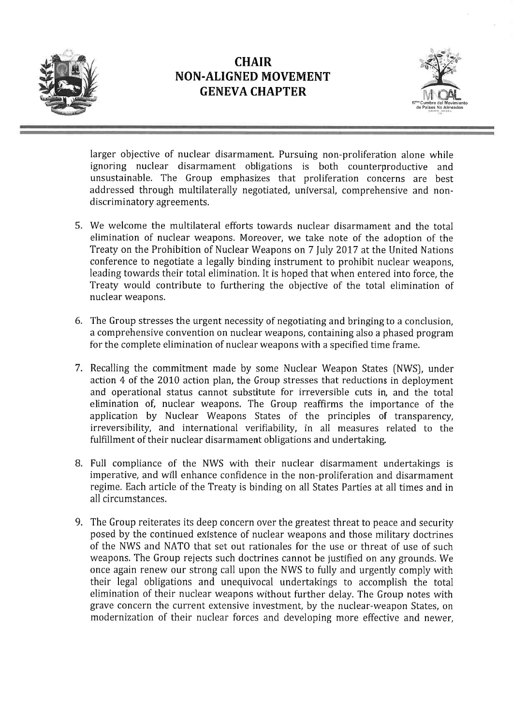



larger objective of nuclear disarmament. Pursuing non-proliferation alone while ignoring nuclear disarmament obligations is both counterproductive and unsustainable. The Group emphasizes that proliferation concerns are best addressed through multilaterally negotiated, universal, comprehensive and nondiscriminatory agreements.

- 5. We welcome the multilateral efforts towards nuclear disarmament and the total elimination of nuclear weapons. Moreover, we take note of the adoption of the Treaty on the Prohibition of Nuclear Weapons on 7 July 2017 at the United Nations conference to negotiate a legally binding instrument to prohibit nuclear weapons, leading towards their total elimination. It is hoped that when entered into force, the Treaty would contribute to furthering the objective of the total elimination of nuclear weapons.
- 6. The Group stresses the urgent necessity of negotiating and bringing to a conclusion, a comprehensive convention on nuclear weapons, containing also a phased program for the complete elimination of nuclear weapons with a specified time frame.
- 7. Recalling the commitment made by some Nuclear Weapon States (NWS), under action 4 of the 2010 action plan, the Group stresses that reductions in deployment and operational status cannot substitute for irreversible cuts in, and the total elimination of, nuclear weapons. The Group reaffirms the importance of the application by Nuclear Weapons States of the principles of transparency, irreversibility, and international verifiability, in all measures related to the fulfillment of their nuclear disarmament obligations and undertaking.
- 8. Full compliance of the NWS with their nuclear disarmament undertakings is imperative, and will enhance confidence in the non-proliferation and disarmament regime. Each article of the Treaty is binding on all States Parties at all times and in all circumstances.
- 9. The Group reiterates its deep concern over the greatest threat to peace and security posed by the continued existence of nuclear weapons and those military doctrines of the NWS and NATO that set out rationales for the use or threat of use of such weapons. The Group rejects such doctrines cannot be justified on any grounds. We once again renew our strong call upon the NWS to fully and urgently comply with their legal obligations and unequivocal undertakings to accomplish the total elimination of their nuclear weapons without further delay. The Group notes with grave concern the current extensive investment, by the nuclear-weapon States, on modernization of their nuclear forces and developing more effective and newer,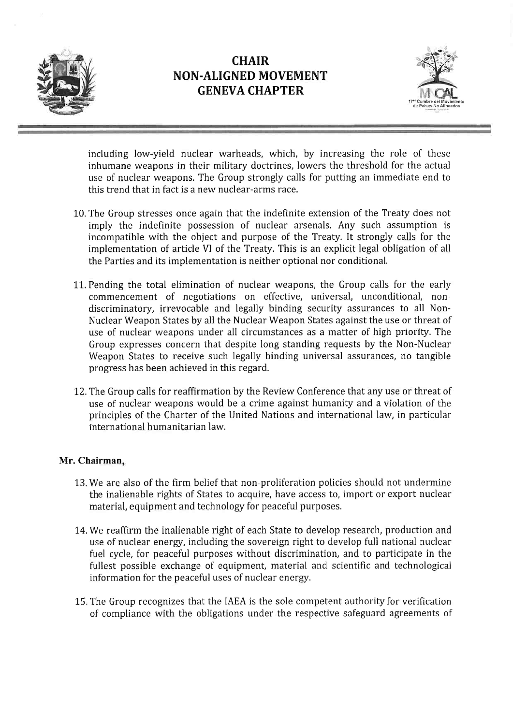



including low-yield nuclear warheads, which, by increasing the role of these inhumane weapons in their military doctrines, lowers the threshold for the actual use of nuclear weapons. The Group strongly calls for putting an immediate end to this trend that in fact is a new nuclear-arms race.

- 10. The Group stresses once again that the indefinite extension of the Treaty does not imply the indefinite possession of nuclear arsenals. Any such assumption is incompatible with the object and purpose of the Treaty. It strongly calls for the implementation of article VI of the Treaty. This is an explicit legal obligation of all the Parties and its implementation is neither optional nor conditional.
- 11. Pending the total elimination of nuclear weapons, the Group calls for the early commencement of negotiations on effective, universal, unconditional, nondiscriminatory, irrevocable and legally binding security assurances to all Non-Nuclear Weapon States by all the Nuclear Weapon States against the use or threat of use of nuclear weapons under all circumstances as a matter of high priority. The Group expresses concern that despite long standing requests by the Non-Nuclear Weapon States to receive such legally binding universal assurances, no tangible progress has been achieved in this regard.
- 12. The Group calls for reaffirmation by the Review Conference that any use or threat of use of nuclear weapons would be a crime against humanity and a violation of the principles of the Charter of the United Nations and international law, in particular international humanitarian law.

#### Mr. Chairman,

- 13. We are also of the firm belief that non-proliferation policies should not undermine the inalienable rights of States to acquire, have access to, import or export nuclear material, equipment and technology for peaceful purposes.
- 14. We reaffirm the inalienable right of each State to develop research, production and use of nuclear energy, including the sovereign right to develop full national nuclear fuel cycle, for peaceful purposes without discrimination, and to participate in the fullest possible exchange of equipment, material and scientific and technological information for the peaceful uses of nuclear energy.
- 15. The Group recognizes that the IAEA is the sole competent authority for verification of compliance with the obligations under the respective safeguard agreements of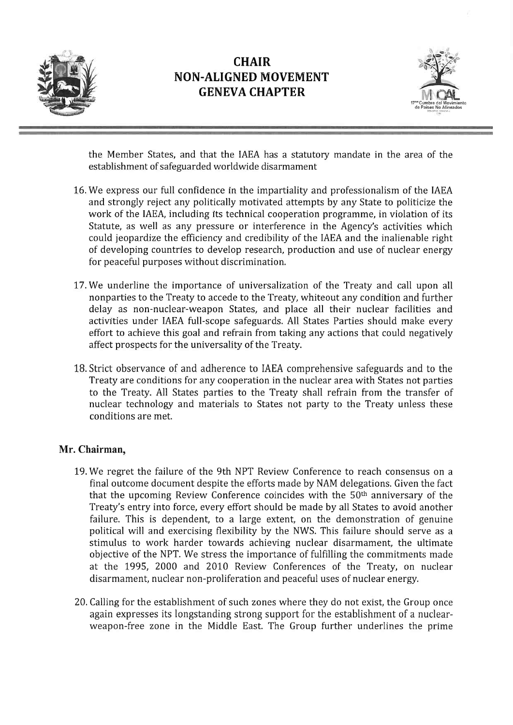



the Member States, and that the IAEA has a statutory mandate in the area of the establishment of safeguarded worldwide disarmament

- 16. We express our full confidence in the impartiality and professionalism of the IAEA and strongly reject any politically motivated attempts by any State to politicize the work of the IAEA, including its technical cooperation programme, in violation of its Statute, as well as any pressure or interference in the Agency's activities which could jeopardize the efficiency and credibility of the IAEA and the inalienable right of developing countries to develop research, production and use of nuclear energy for peaceful purposes without discrimination.
- 17.We underline the importance of universalization of the Treaty and call upon all nonparties to the Treaty to accede to the Treaty, whiteout any condition and further delay as non-nuclear-weapon States, and place all their nuclear facilities and activities under IAEA full-scope safeguards. All States Parties should make every effort to achieve this goal and refrain from taking any actions that could negatively affect prospects for the universality of the Treaty.
- 18. Strict observance of and adherence to IAEA comprehensive safeguards and to the Treaty are conditions for any cooperation in the nuclear area with States not parties to the Treaty. All States parties to the Treaty shall refrain from the transfer of nuclear technology and materials to States not party to the Treaty unless these conditions are met.

#### Mr. Chairman,

- 19. We regret the failure of the 9th NPT Review Conference to reach consensus on a final outcome document despite the efforts made by NAM delegations. Given the fact that the upcoming Review Conference coincides with the 50th anniversary of the Treaty's entry into force, every effort should be made by all States to avoid another failure. This is dependent, to a large extent, on the demonstration of genuine political will and exercising flexibility by the NWS. This failure should serve as a stimulus to work harder towards achieving nuclear disarmament, the ultimate objective of the NPT. We stress the importance of fulfilling the commitments made at the 1995, 2000 and 2010 Review Conferences of the Treaty, on nuclear disarmament, nuclear non-proliferation and peaceful uses of nuclear energy.
- 20. Calling for the establishment of such zones where they do not exist, the Group once again expresses its longstanding strong support for the establishment of a nuclearweapon-free zone in the Middle East. The Group further underlines the prime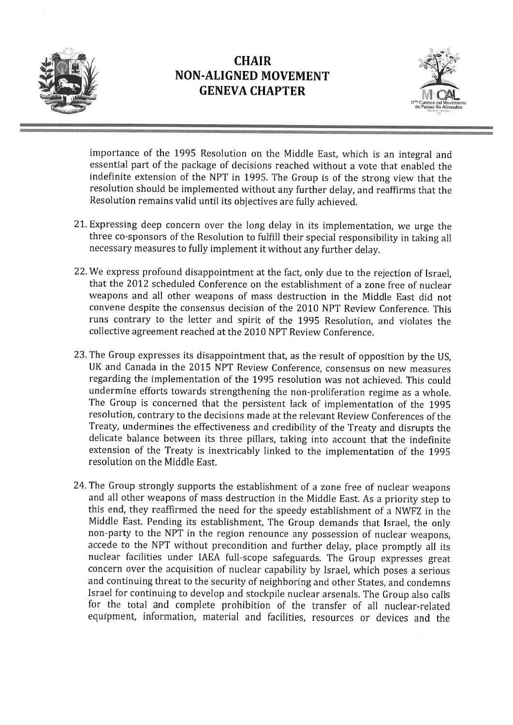



importance of the 1995 Resolution on the Middle East, which is an integral and essential part of the package of decisions reached without a vote that enabled the indefinite extension of the NPT in 1995. The Group is of the strong view that the resolution should be implemented without any further delay, and reaffirms that the Resolution remains valid until its objectives are fully achieved.

- 21. Expressing deep concern over the long delay in its implementation, we urge the three co-sponsors of the Resolution to fulfill their special responsibility in taking all necessary measures to fully implement it without any further delay.
- 22. We express profound disappointment at the fact, only due to the rejection of Israel, that the 2012 scheduled Conference on the establishment of a zone free of nuclear weapons and all other weapons of mass destruction in the Middle East did not convene despite the consensus decision of the 2010 NPT Review Conference. This runs contrary to the letter and spirit of the 1995 Resolution, and violates the collective agreement reached at the 2010 NPT Review Conference.
- 23. The Group expresses its disappointment that, as the result of opposition by the US, UK and Canada in the 2015 NPT Review Conference, consensus on new measures regarding the implementation of the 1995 resolution was not achieved. This could undermine efforts towards strengthening the non-proliferation regime as a whole. The Group is concerned that the persistent lack of implementation of the 1995 resolution, contrary to the decisions made at the relevant Review Conferences of the Treaty, undermines the effectiveness and credibility of the Treaty and disrupts the delicate balance between its three pillars, taking into account that the indefinite extension of the Treaty is inextricably linked to the implementation of the 1995 resolution on the Middle East.
- 24. The Group strongly supports the establishment of a zone free of nuclear weapons and all other weapons of mass destruction in the Middle East. As a priority step to this end, they reaffirmed the need for the speedy establishment of a NWFZ in the Middle East. Pending its establishment, The Group demands that Israel, the only non-party to the NPT in the region renounce any possession of nuclear weapons, accede to the NPT without precondition and further delay, place promptly all its nuclear facilities under IAEA full-scope safeguards. The Group expresses great concern over the acquisition of nuclear capability by Israel, which poses a serious and continuing threat to the security of neighboring and other States, and condemns Israel for continuing to develop and stockpile nuclear arsenals. The Group also calls for the total and complete prohibition of the transfer of all nuclear-related equipment, information, material and facilities, resources or devices and the